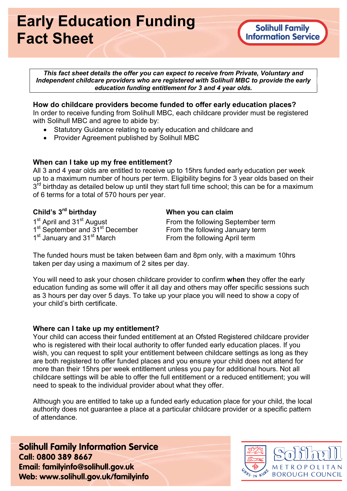# Early Education Funding Fact Sheet

This fact sheet details the offer you can expect to receive from Private, Voluntary and Independent childcare providers who are registered with Solihull MBC to provide the early education funding entitlement for 3 and 4 year olds.

## How do childcare providers become funded to offer early education places?

In order to receive funding from Solihull MBC, each childcare provider must be registered with Solihull MBC and agree to abide by:

- Statutory Guidance relating to early education and childcare and
- Provider Agreement published by Solihull MBC

## When can I take up my free entitlement?

All 3 and 4 year olds are entitled to receive up to 15hrs funded early education per week up to a maximum number of hours per term. Eligibility begins for 3 year olds based on their 3<sup>rd</sup> birthday as detailed below up until they start full time school; this can be for a maximum of 6 terms for a total of 570 hours per year.

# Child's 3<sup>rd</sup> birthday

1<sup>st</sup> April and 31<sup>st</sup> August 1<sup>st</sup> September and 31<sup>st</sup> December 1<sup>st</sup> January and 31<sup>st</sup> March

When you can claim

From the following September term From the following January term From the following April term

The funded hours must be taken between 6am and 8pm only, with a maximum 10hrs taken per day using a maximum of 2 sites per day.

You will need to ask your chosen childcare provider to confirm when they offer the early education funding as some will offer it all day and others may offer specific sessions such as 3 hours per day over 5 days. To take up your place you will need to show a copy of your child's birth certificate.

## Where can I take up my entitlement?

Your child can access their funded entitlement at an Ofsted Registered childcare provider who is registered with their local authority to offer funded early education places. If you wish, you can request to split your entitlement between childcare settings as long as they are both registered to offer funded places and you ensure your child does not attend for more than their 15hrs per week entitlement unless you pay for additional hours. Not all childcare settings will be able to offer the full entitlement or a reduced entitlement; you will need to speak to the individual provider about what they offer.

Although you are entitled to take up a funded early education place for your child, the local authority does not guarantee a place at a particular childcare provider or a specific pattern of attendance.

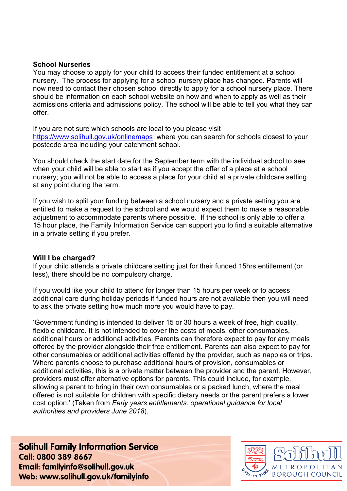#### School Nurseries

You may choose to apply for your child to access their funded entitlement at a school nursery. The process for applying for a school nursery place has changed. Parents will now need to contact their chosen school directly to apply for a school nursery place. There should be information on each school website on how and when to apply as well as their admissions criteria and admissions policy. The school will be able to tell you what they can offer.

If you are not sure which schools are local to you please visit https://www.solihull.gov.uk/onlinemaps where you can search for schools closest to your postcode area including your catchment school.

You should check the start date for the September term with the individual school to see when your child will be able to start as if you accept the offer of a place at a school nursery; you will not be able to access a place for your child at a private childcare setting at any point during the term.

If you wish to split your funding between a school nursery and a private setting you are entitled to make a request to the school and we would expect them to make a reasonable adjustment to accommodate parents where possible. If the school is only able to offer a 15 hour place, the Family Information Service can support you to find a suitable alternative in a private setting if you prefer.

#### Will I be charged?

If your child attends a private childcare setting just for their funded 15hrs entitlement (or less), there should be no compulsory charge.

If you would like your child to attend for longer than 15 hours per week or to access additional care during holiday periods if funded hours are not available then you will need to ask the private setting how much more you would have to pay.

'Government funding is intended to deliver 15 or 30 hours a week of free, high quality, flexible childcare. It is not intended to cover the costs of meals, other consumables, additional hours or additional activities. Parents can therefore expect to pay for any meals offered by the provider alongside their free entitlement. Parents can also expect to pay for other consumables or additional activities offered by the provider, such as nappies or trips. Where parents choose to purchase additional hours of provision, consumables or additional activities, this is a private matter between the provider and the parent. However, providers must offer alternative options for parents. This could include, for example, allowing a parent to bring in their own consumables or a packed lunch, where the meal offered is not suitable for children with specific dietary needs or the parent prefers a lower cost option.' (Taken from Early years entitlements: operational guidance for local authorities and providers June 2018).

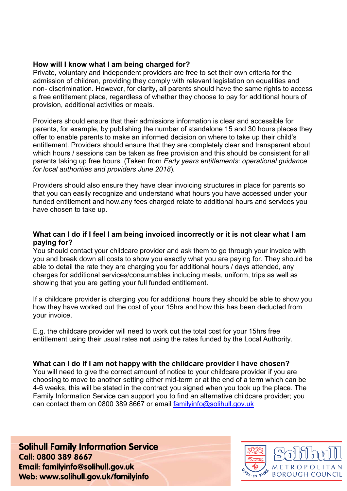### How will I know what I am being charged for?

Private, voluntary and independent providers are free to set their own criteria for the admission of children, providing they comply with relevant legislation on equalities and non- discrimination. However, for clarity, all parents should have the same rights to access a free entitlement place, regardless of whether they choose to pay for additional hours of provision, additional activities or meals.

Providers should ensure that their admissions information is clear and accessible for parents, for example, by publishing the number of standalone 15 and 30 hours places they offer to enable parents to make an informed decision on where to take up their child's entitlement. Providers should ensure that they are completely clear and transparent about which hours / sessions can be taken as free provision and this should be consistent for all parents taking up free hours. (Taken from Early years entitlements: operational guidance for local authorities and providers June 2018).

Providers should also ensure they have clear invoicing structures in place for parents so that you can easily recognize and understand what hours you have accessed under your funded entitlement and how.any fees charged relate to additional hours and services you have chosen to take up.

## What can I do if I feel I am being invoiced incorrectly or it is not clear what I am paying for?

You should contact your childcare provider and ask them to go through your invoice with you and break down all costs to show you exactly what you are paying for. They should be able to detail the rate they are charging you for additional hours / days attended, any charges for additional services/consumables including meals, uniform, trips as well as showing that you are getting your full funded entitlement.

If a childcare provider is charging you for additional hours they should be able to show you how they have worked out the cost of your 15hrs and how this has been deducted from your invoice.

E.g. the childcare provider will need to work out the total cost for your 15hrs free entitlement using their usual rates not using the rates funded by the Local Authority.

## What can I do if I am not happy with the childcare provider I have chosen?

You will need to give the correct amount of notice to your childcare provider if you are choosing to move to another setting either mid-term or at the end of a term which can be 4-6 weeks, this will be stated in the contract you signed when you took up the place. The Family Information Service can support you to find an alternative childcare provider; you can contact them on 0800 389 8667 or email familyinfo@solihull.gov.uk